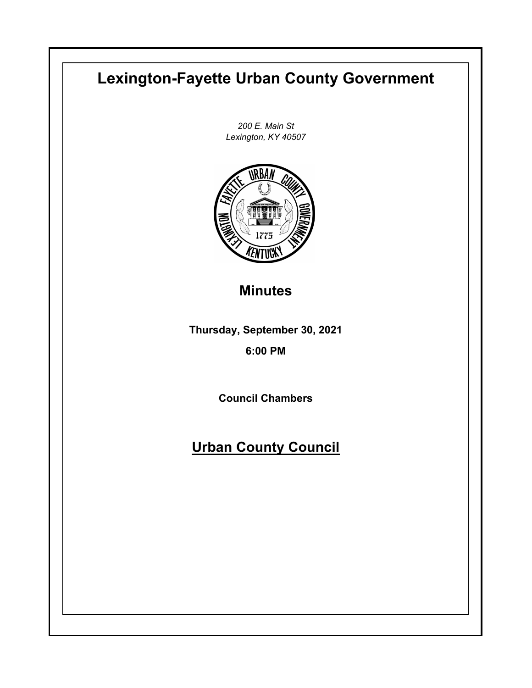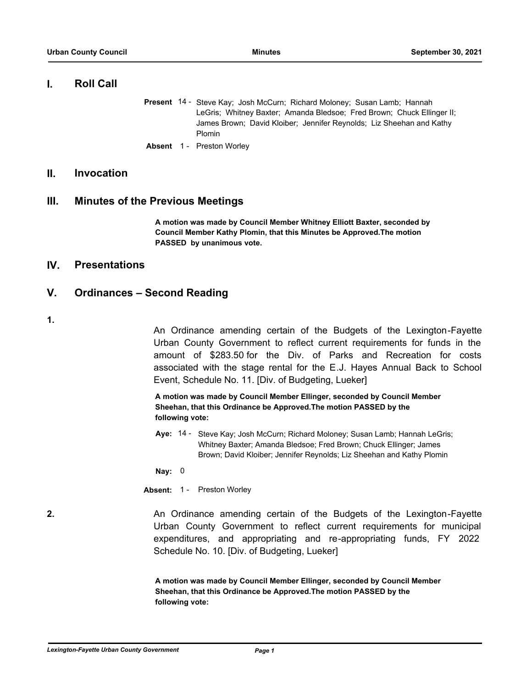## **I. Roll Call**

- Present 14 Steve Kay; Josh McCurn; Richard Moloney; Susan Lamb; Hannah LeGris; Whitney Baxter; Amanda Bledsoe; Fred Brown; Chuck Ellinger II; James Brown; David Kloiber; Jennifer Reynolds; Liz Sheehan and Kathy Plomin
- **Absent** 1 Preston Worley

# **II. Invocation**

## **III. Minutes of the Previous Meetings**

**A motion was made by Council Member Whitney Elliott Baxter, seconded by Council Member Kathy Plomin, that this Minutes be Approved.The motion PASSED by unanimous vote.**

## **IV. Presentations**

# **V. Ordinances – Second Reading**

**1.**

An Ordinance amending certain of the Budgets of the Lexington-Fayette Urban County Government to reflect current requirements for funds in the amount of \$283.50 for the Div. of Parks and Recreation for costs associated with the stage rental for the E.J. Hayes Annual Back to School Event, Schedule No. 11. [Div. of Budgeting, Lueker]

**A motion was made by Council Member Ellinger, seconded by Council Member Sheehan, that this Ordinance be Approved.The motion PASSED by the following vote:**

Aye: 14 - Steve Kay; Josh McCurn; Richard Moloney; Susan Lamb; Hannah LeGris; Whitney Baxter; Amanda Bledsoe; Fred Brown; Chuck Ellinger; James Brown; David Kloiber; Jennifer Reynolds; Liz Sheehan and Kathy Plomin

**Nay:** 0

**Absent:** 1 - Preston Worley

**2. An Ordinance amending certain of the Budgets of the Lexington-Fayette** Urban County Government to reflect current requirements for municipal expenditures, and appropriating and re-appropriating funds, FY 2022 Schedule No. 10. [Div. of Budgeting, Lueker]

> **A motion was made by Council Member Ellinger, seconded by Council Member Sheehan, that this Ordinance be Approved.The motion PASSED by the following vote:**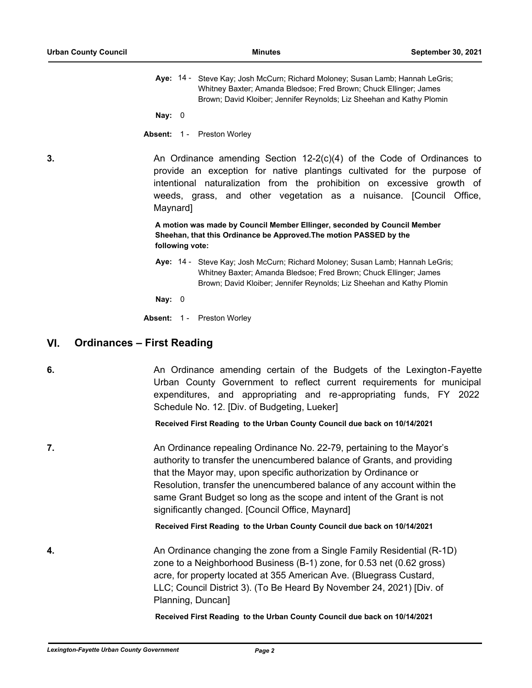Aye: 14 - Steve Kay; Josh McCurn; Richard Moloney; Susan Lamb; Hannah LeGris; Whitney Baxter; Amanda Bledsoe; Fred Brown; Chuck Ellinger; James Brown; David Kloiber; Jennifer Reynolds; Liz Sheehan and Kathy Plomin

**Nay:** 0

**Absent:** 1 - Preston Worley

**3.** An Ordinance amending Section 12-2(c)(4) of the Code of Ordinances to provide an exception for native plantings cultivated for the purpose of intentional naturalization from the prohibition on excessive growth of weeds, grass, and other vegetation as a nuisance. [Council Office, Maynard]

> **A motion was made by Council Member Ellinger, seconded by Council Member Sheehan, that this Ordinance be Approved.The motion PASSED by the following vote:**

Aye: 14 - Steve Kay; Josh McCurn; Richard Moloney; Susan Lamb; Hannah LeGris; Whitney Baxter; Amanda Bledsoe; Fred Brown; Chuck Ellinger; James Brown; David Kloiber; Jennifer Reynolds; Liz Sheehan and Kathy Plomin

**Nay:** 0

**Absent:** 1 - Preston Worley

# **VI. Ordinances – First Reading**

**6. An Ordinance amending certain of the Budgets of the Lexington-Fayette** Urban County Government to reflect current requirements for municipal expenditures, and appropriating and re-appropriating funds, FY 2022 Schedule No. 12. [Div. of Budgeting, Lueker]

**Received First Reading to the Urban County Council due back on 10/14/2021**

**7.** The State Cordinance repealing Ordinance No. 22-79, pertaining to the Mayor's authority to transfer the unencumbered balance of Grants, and providing that the Mayor may, upon specific authorization by Ordinance or Resolution, transfer the unencumbered balance of any account within the same Grant Budget so long as the scope and intent of the Grant is not significantly changed. [Council Office, Maynard]

**Received First Reading to the Urban County Council due back on 10/14/2021**

**4.** An Ordinance changing the zone from a Single Family Residential (R-1D) zone to a Neighborhood Business (B-1) zone, for 0.53 net (0.62 gross) acre, for property located at 355 American Ave. (Bluegrass Custard, LLC; Council District 3). (To Be Heard By November 24, 2021) [Div. of Planning, Duncan]

**Received First Reading to the Urban County Council due back on 10/14/2021**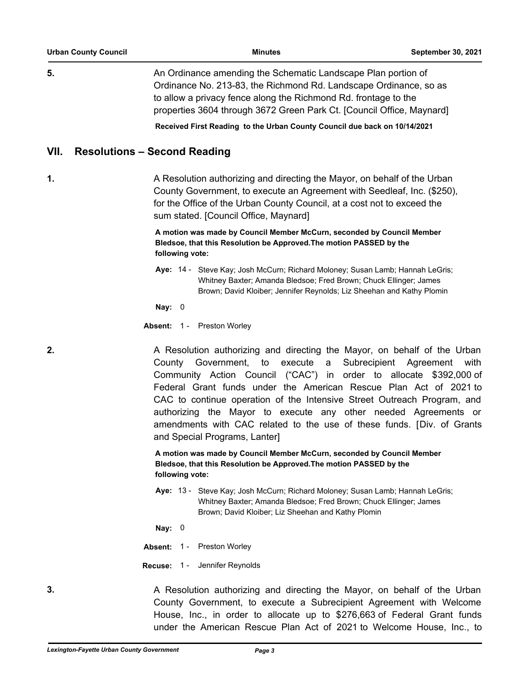**5.** An Ordinance amending the Schematic Landscape Plan portion of Ordinance No. 213-83, the Richmond Rd. Landscape Ordinance, so as to allow a privacy fence along the Richmond Rd. frontage to the properties 3604 through 3672 Green Park Ct. [Council Office, Maynard]

**Received First Reading to the Urban County Council due back on 10/14/2021**

## **VII. Resolutions – Second Reading**

**1.** A Resolution authorizing and directing the Mayor, on behalf of the Urban County Government, to execute an Agreement with Seedleaf, Inc. (\$250), for the Office of the Urban County Council, at a cost not to exceed the sum stated. [Council Office, Maynard]

> **A motion was made by Council Member McCurn, seconded by Council Member Bledsoe, that this Resolution be Approved.The motion PASSED by the following vote:**

Aye: 14 - Steve Kay; Josh McCurn; Richard Moloney; Susan Lamb; Hannah LeGris; Whitney Baxter; Amanda Bledsoe; Fred Brown; Chuck Ellinger; James Brown; David Kloiber; Jennifer Reynolds; Liz Sheehan and Kathy Plomin

**Nay:** 0

**Absent:** 1 - Preston Worley

**2.** A Resolution authorizing and directing the Mayor, on behalf of the Urban County Government, to execute a Subrecipient Agreement with Community Action Council ("CAC") in order to allocate \$392,000 of Federal Grant funds under the American Rescue Plan Act of 2021 to CAC to continue operation of the Intensive Street Outreach Program, and authorizing the Mayor to execute any other needed Agreements or amendments with CAC related to the use of these funds. [Div. of Grants and Special Programs, Lanter]

> **A motion was made by Council Member McCurn, seconded by Council Member Bledsoe, that this Resolution be Approved.The motion PASSED by the following vote:**

Aye: 13 - Steve Kay; Josh McCurn; Richard Moloney; Susan Lamb; Hannah LeGris; Whitney Baxter; Amanda Bledsoe; Fred Brown; Chuck Ellinger; James Brown; David Kloiber; Liz Sheehan and Kathy Plomin

**Nay:** 0

**Absent:** 1 - Preston Worley

**Recuse:** 1 - Jennifer Reynolds

**3.** A Resolution authorizing and directing the Mayor, on behalf of the Urban County Government, to execute a Subrecipient Agreement with Welcome House, Inc., in order to allocate up to \$276,663 of Federal Grant funds under the American Rescue Plan Act of 2021 to Welcome House, Inc., to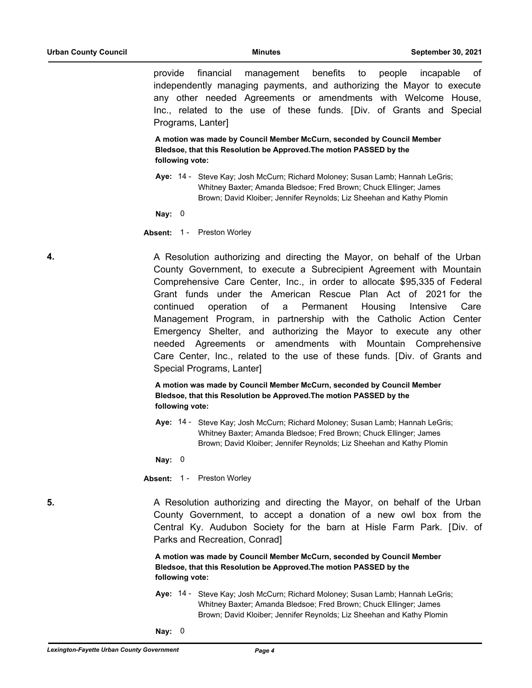provide financial management benefits to people incapable of independently managing payments, and authorizing the Mayor to execute any other needed Agreements or amendments with Welcome House, Inc., related to the use of these funds. [Div. of Grants and Special Programs, Lanter]

**A motion was made by Council Member McCurn, seconded by Council Member Bledsoe, that this Resolution be Approved.The motion PASSED by the following vote:**

Aye: 14 - Steve Kay; Josh McCurn; Richard Moloney; Susan Lamb; Hannah LeGris; Whitney Baxter; Amanda Bledsoe; Fred Brown; Chuck Ellinger; James Brown; David Kloiber; Jennifer Reynolds; Liz Sheehan and Kathy Plomin

**Nay:** 0

**Absent:** 1 - Preston Worley

**4.** A Resolution authorizing and directing the Mayor, on behalf of the Urban County Government, to execute a Subrecipient Agreement with Mountain Comprehensive Care Center, Inc., in order to allocate \$95,335 of Federal Grant funds under the American Rescue Plan Act of 2021 for the continued operation of a Permanent Housing Intensive Care Management Program, in partnership with the Catholic Action Center Emergency Shelter, and authorizing the Mayor to execute any other needed Agreements or amendments with Mountain Comprehensive Care Center, Inc., related to the use of these funds. [Div. of Grants and Special Programs, Lanter]

> **A motion was made by Council Member McCurn, seconded by Council Member Bledsoe, that this Resolution be Approved.The motion PASSED by the following vote:**

Aye: 14 - Steve Kay; Josh McCurn; Richard Moloney; Susan Lamb; Hannah LeGris; Whitney Baxter; Amanda Bledsoe; Fred Brown; Chuck Ellinger; James Brown; David Kloiber; Jennifer Reynolds; Liz Sheehan and Kathy Plomin

**Nay:** 0

**Absent:** 1 - Preston Worley

**5. A Resolution authorizing and directing the Mayor, on behalf of the Urban** County Government, to accept a donation of a new owl box from the Central Ky. Audubon Society for the barn at Hisle Farm Park. [Div. of Parks and Recreation, Conrad]

> **A motion was made by Council Member McCurn, seconded by Council Member Bledsoe, that this Resolution be Approved.The motion PASSED by the following vote:**

- Aye: 14 Steve Kay; Josh McCurn; Richard Moloney; Susan Lamb; Hannah LeGris; Whitney Baxter; Amanda Bledsoe; Fred Brown; Chuck Ellinger; James Brown; David Kloiber; Jennifer Reynolds; Liz Sheehan and Kathy Plomin
- **Nay:** 0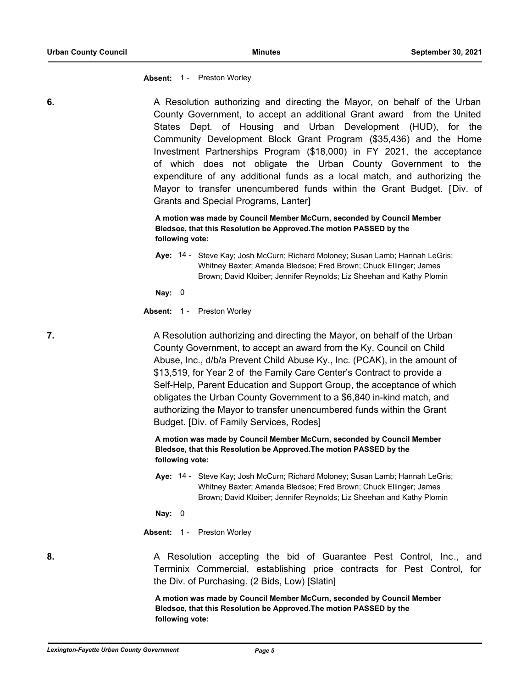**Absent:** 1 - Preston Worley

**6. 6.** A Resolution authorizing and directing the Mayor, on behalf of the Urban County Government, to accept an additional Grant award from the United States Dept. of Housing and Urban Development (HUD), for the Community Development Block Grant Program (\$35,436) and the Home Investment Partnerships Program (\$18,000) in FY 2021, the acceptance of which does not obligate the Urban County Government to the expenditure of any additional funds as a local match, and authorizing the Mayor to transfer unencumbered funds within the Grant Budget. [Div. of Grants and Special Programs, Lanter]

> **A motion was made by Council Member McCurn, seconded by Council Member Bledsoe, that this Resolution be Approved.The motion PASSED by the following vote:**

Aye: 14 - Steve Kay; Josh McCurn; Richard Moloney; Susan Lamb; Hannah LeGris; Whitney Baxter; Amanda Bledsoe; Fred Brown; Chuck Ellinger; James Brown; David Kloiber; Jennifer Reynolds; Liz Sheehan and Kathy Plomin

**Nay:** 0

**Absent:** 1 - Preston Worley

**7. A Resolution authorizing and directing the Mayor, on behalf of the Urban** County Government, to accept an award from the Ky. Council on Child Abuse, Inc., d/b/a Prevent Child Abuse Ky., Inc. (PCAK), in the amount of \$13,519, for Year 2 of the Family Care Center's Contract to provide a Self-Help, Parent Education and Support Group, the acceptance of which obligates the Urban County Government to a \$6,840 in-kind match, and authorizing the Mayor to transfer unencumbered funds within the Grant Budget. [Div. of Family Services, Rodes]

> **A motion was made by Council Member McCurn, seconded by Council Member Bledsoe, that this Resolution be Approved.The motion PASSED by the following vote:**

Aye: 14 - Steve Kay; Josh McCurn; Richard Moloney; Susan Lamb; Hannah LeGris; Whitney Baxter; Amanda Bledsoe; Fred Brown; Chuck Ellinger; James Brown; David Kloiber; Jennifer Reynolds; Liz Sheehan and Kathy Plomin

**Nay:** 0

**Absent:** 1 - Preston Worley

**8.** A Resolution accepting the bid of Guarantee Pest Control, Inc., and Terminix Commercial, establishing price contracts for Pest Control, for the Div. of Purchasing. (2 Bids, Low) [Slatin]

> **A motion was made by Council Member McCurn, seconded by Council Member Bledsoe, that this Resolution be Approved.The motion PASSED by the following vote:**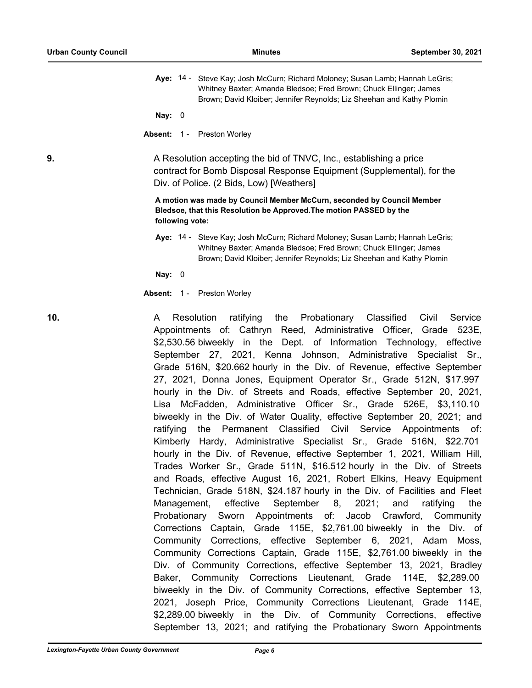| Aye: 14 - Steve Kay; Josh McCurn; Richard Moloney; Susan Lamb; Hannah LeGris; |  |  |
|-------------------------------------------------------------------------------|--|--|
| Whitney Baxter; Amanda Bledsoe; Fred Brown; Chuck Ellinger; James             |  |  |
| Brown; David Kloiber; Jennifer Reynolds; Liz Sheehan and Kathy Plomin         |  |  |

**Nay:** 0

**Absent:** 1 - Preston Worley

**9.** A Resolution accepting the bid of TNVC, Inc., establishing a price contract for Bomb Disposal Response Equipment (Supplemental), for the Div. of Police. (2 Bids, Low) [Weathers]

> **A motion was made by Council Member McCurn, seconded by Council Member Bledsoe, that this Resolution be Approved.The motion PASSED by the following vote:**

Aye: 14 - Steve Kay; Josh McCurn; Richard Moloney; Susan Lamb; Hannah LeGris; Whitney Baxter; Amanda Bledsoe; Fred Brown; Chuck Ellinger; James Brown; David Kloiber; Jennifer Reynolds; Liz Sheehan and Kathy Plomin

**Nay:** 0

**Absent:** 1 - Preston Worley

**10.** A Resolution ratifying the Probationary Classified Civil Service Appointments of: Cathryn Reed, Administrative Officer, Grade 523E, \$2,530.56 biweekly in the Dept. of Information Technology, effective September 27, 2021, Kenna Johnson, Administrative Specialist Sr., Grade 516N, \$20.662 hourly in the Div. of Revenue, effective September 27, 2021, Donna Jones, Equipment Operator Sr., Grade 512N, \$17.997 hourly in the Div. of Streets and Roads, effective September 20, 2021, Lisa McFadden, Administrative Officer Sr., Grade 526E, \$3,110.10 biweekly in the Div. of Water Quality, effective September 20, 2021; and ratifying the Permanent Classified Civil Service Appointments of: Kimberly Hardy, Administrative Specialist Sr., Grade 516N, \$22.701 hourly in the Div. of Revenue, effective September 1, 2021, William Hill, Trades Worker Sr., Grade 511N, \$16.512 hourly in the Div. of Streets and Roads, effective August 16, 2021, Robert Elkins, Heavy Equipment Technician, Grade 518N, \$24.187 hourly in the Div. of Facilities and Fleet Management, effective September 8, 2021; and ratifying the Probationary Sworn Appointments of: Jacob Crawford, Community Corrections Captain, Grade 115E, \$2,761.00 biweekly in the Div. of Community Corrections, effective September 6, 2021, Adam Moss, Community Corrections Captain, Grade 115E, \$2,761.00 biweekly in the Div. of Community Corrections, effective September 13, 2021, Bradley Baker, Community Corrections Lieutenant, Grade 114E, \$2,289.00 biweekly in the Div. of Community Corrections, effective September 13, 2021, Joseph Price, Community Corrections Lieutenant, Grade 114E, \$2,289.00 biweekly in the Div. of Community Corrections, effective September 13, 2021; and ratifying the Probationary Sworn Appointments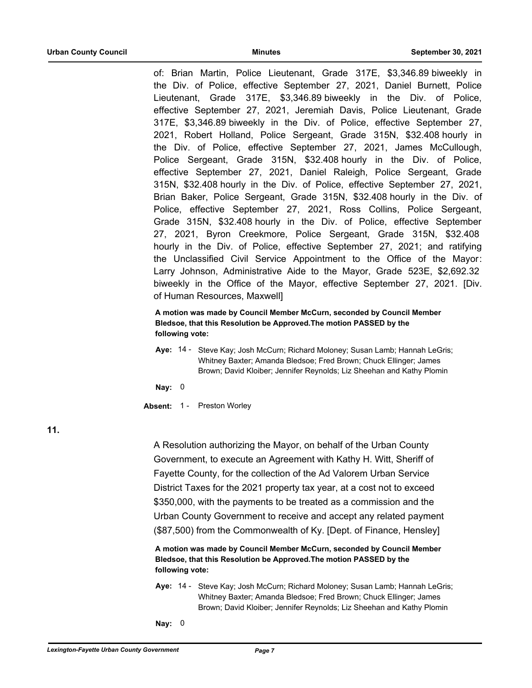of: Brian Martin, Police Lieutenant, Grade 317E, \$3,346.89 biweekly in the Div. of Police, effective September 27, 2021, Daniel Burnett, Police Lieutenant, Grade 317E, \$3,346.89 biweekly in the Div. of Police, effective September 27, 2021, Jeremiah Davis, Police Lieutenant, Grade 317E, \$3,346.89 biweekly in the Div. of Police, effective September 27, 2021, Robert Holland, Police Sergeant, Grade 315N, \$32.408 hourly in the Div. of Police, effective September 27, 2021, James McCullough, Police Sergeant, Grade 315N, \$32.408 hourly in the Div. of Police, effective September 27, 2021, Daniel Raleigh, Police Sergeant, Grade 315N, \$32.408 hourly in the Div. of Police, effective September 27, 2021, Brian Baker, Police Sergeant, Grade 315N, \$32.408 hourly in the Div. of Police, effective September 27, 2021, Ross Collins, Police Sergeant, Grade 315N, \$32.408 hourly in the Div. of Police, effective September 27, 2021, Byron Creekmore, Police Sergeant, Grade 315N, \$32.408 hourly in the Div. of Police, effective September 27, 2021; and ratifying the Unclassified Civil Service Appointment to the Office of the Mayor: Larry Johnson, Administrative Aide to the Mayor, Grade 523E, \$2,692.32 biweekly in the Office of the Mayor, effective September 27, 2021. [Div. of Human Resources, Maxwell]

**A motion was made by Council Member McCurn, seconded by Council Member Bledsoe, that this Resolution be Approved.The motion PASSED by the following vote:**

Aye: 14 - Steve Kay; Josh McCurn; Richard Moloney; Susan Lamb; Hannah LeGris; Whitney Baxter; Amanda Bledsoe; Fred Brown; Chuck Ellinger; James Brown; David Kloiber; Jennifer Reynolds; Liz Sheehan and Kathy Plomin

**Nay:** 0

**Absent:** 1 - Preston Worley

**11.**

A Resolution authorizing the Mayor, on behalf of the Urban County Government, to execute an Agreement with Kathy H. Witt, Sheriff of Fayette County, for the collection of the Ad Valorem Urban Service District Taxes for the 2021 property tax year, at a cost not to exceed \$350,000, with the payments to be treated as a commission and the Urban County Government to receive and accept any related payment (\$87,500) from the Commonwealth of Ky. [Dept. of Finance, Hensley]

**A motion was made by Council Member McCurn, seconded by Council Member Bledsoe, that this Resolution be Approved.The motion PASSED by the following vote:**

- Aye: 14 Steve Kay; Josh McCurn; Richard Moloney; Susan Lamb; Hannah LeGris; Whitney Baxter; Amanda Bledsoe; Fred Brown; Chuck Ellinger; James Brown; David Kloiber; Jennifer Reynolds; Liz Sheehan and Kathy Plomin
- **Nay:** 0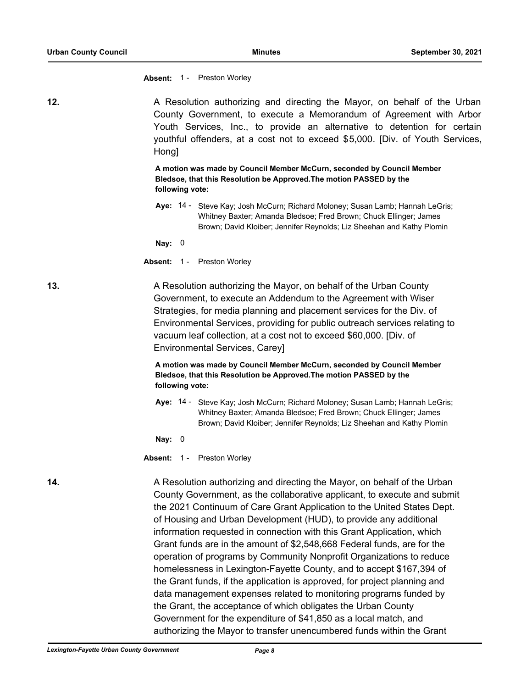**Absent:** 1 - Preston Worley

| 12. | Hong]                                                                                                                                                            | A Resolution authorizing and directing the Mayor, on behalf of the Urban<br>County Government, to execute a Memorandum of Agreement with Arbor<br>Youth Services, Inc., to provide an alternative to detention for certain<br>youthful offenders, at a cost not to exceed \$5,000. [Div. of Youth Services, |  |  |
|-----|------------------------------------------------------------------------------------------------------------------------------------------------------------------|-------------------------------------------------------------------------------------------------------------------------------------------------------------------------------------------------------------------------------------------------------------------------------------------------------------|--|--|
|     | A motion was made by Council Member McCurn, seconded by Council Member<br>Bledsoe, that this Resolution be Approved. The motion PASSED by the<br>following vote: |                                                                                                                                                                                                                                                                                                             |  |  |
|     |                                                                                                                                                                  | Aye: 14 - Steve Kay; Josh McCurn; Richard Moloney; Susan Lamb; Hannah LeGris;<br>Whitney Baxter; Amanda Bledsoe; Fred Brown; Chuck Ellinger; James<br>Brown; David Kloiber; Jennifer Reynolds; Liz Sheehan and Kathy Plomin                                                                                 |  |  |
|     | Nay: $0$                                                                                                                                                         |                                                                                                                                                                                                                                                                                                             |  |  |
|     |                                                                                                                                                                  | <b>Absent: 1 - Preston Worley</b>                                                                                                                                                                                                                                                                           |  |  |

**13.** A Resolution authorizing the Mayor, on behalf of the Urban County Government, to execute an Addendum to the Agreement with Wiser Strategies, for media planning and placement services for the Div. of Environmental Services, providing for public outreach services relating to vacuum leaf collection, at a cost not to exceed \$60,000. [Div. of Environmental Services, Carey]

> **A motion was made by Council Member McCurn, seconded by Council Member Bledsoe, that this Resolution be Approved.The motion PASSED by the following vote:**

Aye: 14 - Steve Kay; Josh McCurn; Richard Moloney; Susan Lamb; Hannah LeGris; Whitney Baxter; Amanda Bledsoe; Fred Brown; Chuck Ellinger; James Brown; David Kloiber; Jennifer Reynolds; Liz Sheehan and Kathy Plomin

**Nay:** 0

**Absent:** 1 - Preston Worley

**14.** A Resolution authorizing and directing the Mayor, on behalf of the Urban County Government, as the collaborative applicant, to execute and submit the 2021 Continuum of Care Grant Application to the United States Dept. of Housing and Urban Development (HUD), to provide any additional information requested in connection with this Grant Application, which Grant funds are in the amount of \$2,548,668 Federal funds, are for the operation of programs by Community Nonprofit Organizations to reduce homelessness in Lexington-Fayette County, and to accept \$167,394 of the Grant funds, if the application is approved, for project planning and data management expenses related to monitoring programs funded by the Grant, the acceptance of which obligates the Urban County Government for the expenditure of \$41,850 as a local match, and authorizing the Mayor to transfer unencumbered funds within the Grant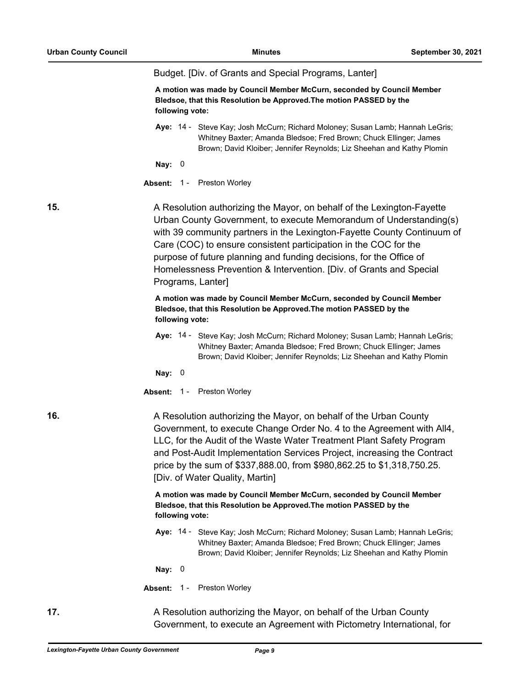|     | Budget. [Div. of Grants and Special Programs, Lanter]                                                                                                                                                                                                                                                                                                                                                                                                          |  |
|-----|----------------------------------------------------------------------------------------------------------------------------------------------------------------------------------------------------------------------------------------------------------------------------------------------------------------------------------------------------------------------------------------------------------------------------------------------------------------|--|
|     | A motion was made by Council Member McCurn, seconded by Council Member<br>Bledsoe, that this Resolution be Approved. The motion PASSED by the<br>following vote:                                                                                                                                                                                                                                                                                               |  |
|     | Aye: 14 - Steve Kay; Josh McCurn; Richard Moloney; Susan Lamb; Hannah LeGris;<br>Whitney Baxter; Amanda Bledsoe; Fred Brown; Chuck Ellinger; James<br>Brown; David Kloiber; Jennifer Reynolds; Liz Sheehan and Kathy Plomin                                                                                                                                                                                                                                    |  |
|     | Nay: $0$                                                                                                                                                                                                                                                                                                                                                                                                                                                       |  |
|     | Absent: 1 - Preston Worley                                                                                                                                                                                                                                                                                                                                                                                                                                     |  |
| 15. | A Resolution authorizing the Mayor, on behalf of the Lexington-Fayette<br>Urban County Government, to execute Memorandum of Understanding(s)<br>with 39 community partners in the Lexington-Fayette County Continuum of<br>Care (COC) to ensure consistent participation in the COC for the<br>purpose of future planning and funding decisions, for the Office of<br>Homelessness Prevention & Intervention. [Div. of Grants and Special<br>Programs, Lanter] |  |
|     | A motion was made by Council Member McCurn, seconded by Council Member<br>Bledsoe, that this Resolution be Approved. The motion PASSED by the<br>following vote:                                                                                                                                                                                                                                                                                               |  |
|     | Aye: 14 - Steve Kay; Josh McCurn; Richard Moloney; Susan Lamb; Hannah LeGris;<br>Whitney Baxter; Amanda Bledsoe; Fred Brown; Chuck Ellinger; James<br>Brown; David Kloiber; Jennifer Reynolds; Liz Sheehan and Kathy Plomin                                                                                                                                                                                                                                    |  |
|     | Nay: $0$                                                                                                                                                                                                                                                                                                                                                                                                                                                       |  |
|     | Absent: 1 - Preston Worley                                                                                                                                                                                                                                                                                                                                                                                                                                     |  |
| 16. | A Resolution authorizing the Mayor, on behalf of the Urban County<br>Government, to execute Change Order No. 4 to the Agreement with All4,<br>LLC, for the Audit of the Waste Water Treatment Plant Safety Program<br>and Post-Audit Implementation Services Project, increasing the Contract<br>price by the sum of \$337,888.00, from \$980,862.25 to \$1,318,750.25.<br>[Div. of Water Quality, Martin]                                                     |  |
|     | A motion was made by Council Member McCurn, seconded by Council Member<br>Bledsoe, that this Resolution be Approved. The motion PASSED by the<br>following vote:                                                                                                                                                                                                                                                                                               |  |
|     | Aye: 14 - Steve Kay; Josh McCurn; Richard Moloney; Susan Lamb; Hannah LeGris;<br>Whitney Baxter; Amanda Bledsoe; Fred Brown; Chuck Ellinger; James<br>Brown; David Kloiber; Jennifer Reynolds; Liz Sheehan and Kathy Plomin                                                                                                                                                                                                                                    |  |
|     | Nay: $0$                                                                                                                                                                                                                                                                                                                                                                                                                                                       |  |
|     | Preston Worley<br>Absent: 1 -                                                                                                                                                                                                                                                                                                                                                                                                                                  |  |
| 17. | A Resolution authorizing the Mayor, on behalf of the Urban County<br>Government, to execute an Agreement with Pictometry International, for                                                                                                                                                                                                                                                                                                                    |  |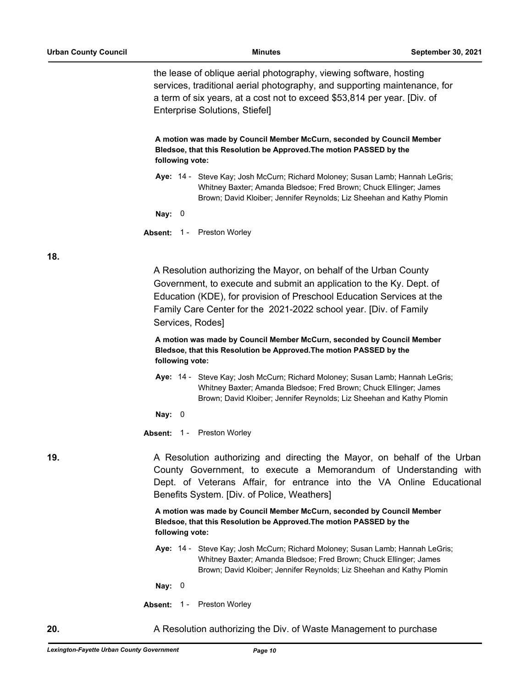the lease of oblique aerial photography, viewing software, hosting services, traditional aerial photography, and supporting maintenance, for a term of six years, at a cost not to exceed \$53,814 per year. [Div. of Enterprise Solutions, Stiefel]

**A motion was made by Council Member McCurn, seconded by Council Member Bledsoe, that this Resolution be Approved.The motion PASSED by the following vote:**

Aye: 14 - Steve Kay; Josh McCurn; Richard Moloney; Susan Lamb; Hannah LeGris; Whitney Baxter; Amanda Bledsoe; Fred Brown; Chuck Ellinger; James Brown; David Kloiber; Jennifer Reynolds; Liz Sheehan and Kathy Plomin

**Nay:** 0

**Absent:** 1 - Preston Worley

**18.**

A Resolution authorizing the Mayor, on behalf of the Urban County Government, to execute and submit an application to the Ky. Dept. of Education (KDE), for provision of Preschool Education Services at the Family Care Center for the 2021-2022 school year. [Div. of Family Services, Rodes]

**A motion was made by Council Member McCurn, seconded by Council Member Bledsoe, that this Resolution be Approved.The motion PASSED by the following vote:**

Aye: 14 - Steve Kay; Josh McCurn; Richard Moloney; Susan Lamb; Hannah LeGris; Whitney Baxter; Amanda Bledsoe; Fred Brown; Chuck Ellinger; James Brown; David Kloiber; Jennifer Reynolds; Liz Sheehan and Kathy Plomin

**Nay:** 0

**Absent:** 1 - Preston Worley

**19.** A Resolution authorizing and directing the Mayor, on behalf of the Urban County Government, to execute a Memorandum of Understanding with Dept. of Veterans Affair, for entrance into the VA Online Educational Benefits System. [Div. of Police, Weathers]

> **A motion was made by Council Member McCurn, seconded by Council Member Bledsoe, that this Resolution be Approved.The motion PASSED by the following vote:**

Aye: 14 - Steve Kay; Josh McCurn; Richard Moloney; Susan Lamb; Hannah LeGris; Whitney Baxter; Amanda Bledsoe; Fred Brown; Chuck Ellinger; James Brown; David Kloiber; Jennifer Reynolds; Liz Sheehan and Kathy Plomin

**Nay:** 0

**Absent:** 1 - Preston Worley

**20.** A Resolution authorizing the Div. of Waste Management to purchase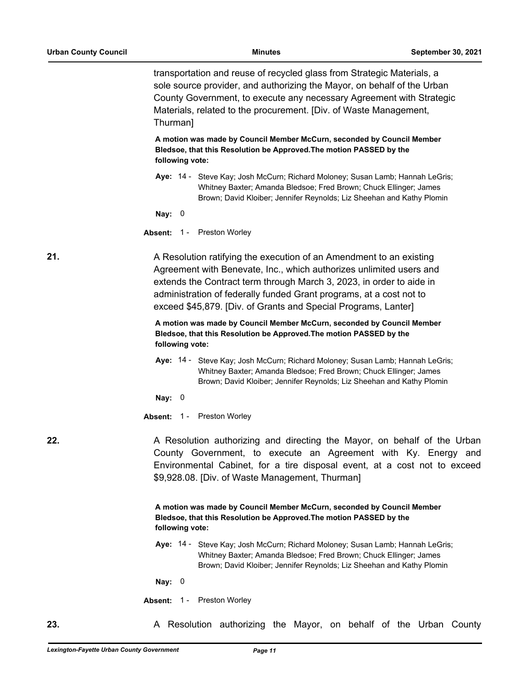transportation and reuse of recycled glass from Strategic Materials, a sole source provider, and authorizing the Mayor, on behalf of the Urban County Government, to execute any necessary Agreement with Strategic Materials, related to the procurement. [Div. of Waste Management, Thurman]

**A motion was made by Council Member McCurn, seconded by Council Member Bledsoe, that this Resolution be Approved.The motion PASSED by the following vote:**

Aye: 14 - Steve Kay; Josh McCurn; Richard Moloney; Susan Lamb; Hannah LeGris; Whitney Baxter; Amanda Bledsoe; Fred Brown; Chuck Ellinger; James Brown; David Kloiber; Jennifer Reynolds; Liz Sheehan and Kathy Plomin

#### **Nay:** 0

**Absent:** 1 - Preston Worley

**21.** A Resolution ratifying the execution of an Amendment to an existing Agreement with Benevate, Inc., which authorizes unlimited users and extends the Contract term through March 3, 2023, in order to aide in administration of federally funded Grant programs, at a cost not to exceed \$45,879. [Div. of Grants and Special Programs, Lanter]

> **A motion was made by Council Member McCurn, seconded by Council Member Bledsoe, that this Resolution be Approved.The motion PASSED by the following vote:**

Aye: 14 - Steve Kay; Josh McCurn; Richard Moloney; Susan Lamb; Hannah LeGris; Whitney Baxter; Amanda Bledsoe; Fred Brown; Chuck Ellinger; James Brown; David Kloiber; Jennifer Reynolds; Liz Sheehan and Kathy Plomin

**Nay:** 0

**Absent:** 1 - Preston Worley

**22.** A Resolution authorizing and directing the Mayor, on behalf of the Urban County Government, to execute an Agreement with Ky. Energy and Environmental Cabinet, for a tire disposal event, at a cost not to exceed \$9,928.08. [Div. of Waste Management, Thurman]

> **A motion was made by Council Member McCurn, seconded by Council Member Bledsoe, that this Resolution be Approved.The motion PASSED by the following vote:**

Aye: 14 - Steve Kay; Josh McCurn; Richard Moloney; Susan Lamb; Hannah LeGris; Whitney Baxter; Amanda Bledsoe; Fred Brown; Chuck Ellinger; James Brown; David Kloiber; Jennifer Reynolds; Liz Sheehan and Kathy Plomin

**Nay:** 0

**Absent:** 1 - Preston Worley

**23.** A Resolution authorizing the Mayor, on behalf of the Urban County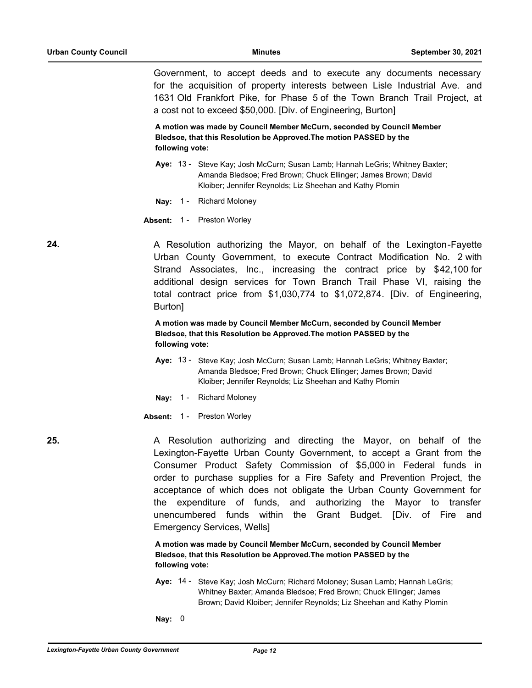Government, to accept deeds and to execute any documents necessary for the acquisition of property interests between Lisle Industrial Ave. and 1631 Old Frankfort Pike, for Phase 5 of the Town Branch Trail Project, at a cost not to exceed \$50,000. [Div. of Engineering, Burton]

**A motion was made by Council Member McCurn, seconded by Council Member Bledsoe, that this Resolution be Approved.The motion PASSED by the following vote:**

- Aye: 13 Steve Kay; Josh McCurn; Susan Lamb; Hannah LeGris; Whitney Baxter; Amanda Bledsoe; Fred Brown; Chuck Ellinger; James Brown; David Kloiber; Jennifer Reynolds; Liz Sheehan and Kathy Plomin
- **Nay:** 1 Richard Moloney
- **Absent:** 1 Preston Worley

24. **24.** A Resolution authorizing the Mayor, on behalf of the Lexington-Fayette Urban County Government, to execute Contract Modification No. 2 with Strand Associates, Inc., increasing the contract price by \$42,100 for additional design services for Town Branch Trail Phase VI, raising the total contract price from \$1,030,774 to \$1,072,874. [Div. of Engineering, Burton]

> **A motion was made by Council Member McCurn, seconded by Council Member Bledsoe, that this Resolution be Approved.The motion PASSED by the following vote:**

- Aye: 13 Steve Kay; Josh McCurn; Susan Lamb; Hannah LeGris; Whitney Baxter; Amanda Bledsoe; Fred Brown; Chuck Ellinger; James Brown; David Kloiber; Jennifer Reynolds; Liz Sheehan and Kathy Plomin
- **Nay:** 1 Richard Moloney
- **Absent:** 1 Preston Worley

**25.** A Resolution authorizing and directing the Mayor, on behalf of the Lexington-Fayette Urban County Government, to accept a Grant from the Consumer Product Safety Commission of \$5,000 in Federal funds in order to purchase supplies for a Fire Safety and Prevention Project, the acceptance of which does not obligate the Urban County Government for the expenditure of funds, and authorizing the Mayor to transfer unencumbered funds within the Grant Budget. [Div. of Fire and Emergency Services, Wells]

> **A motion was made by Council Member McCurn, seconded by Council Member Bledsoe, that this Resolution be Approved.The motion PASSED by the following vote:**

- Aye: 14 Steve Kay; Josh McCurn; Richard Moloney; Susan Lamb; Hannah LeGris; Whitney Baxter; Amanda Bledsoe; Fred Brown; Chuck Ellinger; James Brown; David Kloiber; Jennifer Reynolds; Liz Sheehan and Kathy Plomin
- **Nay:** 0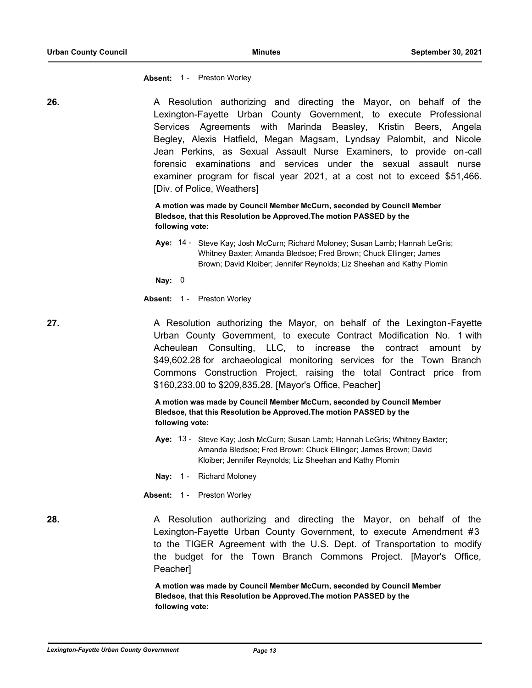**Absent:** 1 - Preston Worley

| 26. | A Resolution authorizing and directing the Mayor, on behalf of the<br>Lexington-Fayette Urban County Government, to execute Professional<br>Services Agreements with Marinda Beasley, Kristin Beers, Angela<br>Begley, Alexis Hatfield, Megan Magsam, Lyndsay Palombit, and Nicole<br>Jean Perkins, as Sexual Assault Nurse Examiners, to provide on-call<br>forensic examinations and services under the sexual assault nurse<br>examiner program for fiscal year 2021, at a cost not to exceed \$51,466.<br>[Div. of Police, Weathers] |
|-----|------------------------------------------------------------------------------------------------------------------------------------------------------------------------------------------------------------------------------------------------------------------------------------------------------------------------------------------------------------------------------------------------------------------------------------------------------------------------------------------------------------------------------------------|
|     | A motion was made by Council Member McCurn, seconded by Council Member<br>Bledsoe, that this Resolution be Approved. The motion PASSED by the<br>following vote:                                                                                                                                                                                                                                                                                                                                                                         |
|     | Aye: 14 - Steve Kay; Josh McCurn; Richard Moloney; Susan Lamb; Hannah LeGris;<br>Whitney Baxter; Amanda Bledsoe; Fred Brown; Chuck Ellinger; James<br>Brown; David Kloiber; Jennifer Reynolds; Liz Sheehan and Kathy Plomin                                                                                                                                                                                                                                                                                                              |
|     | Nay: $0$                                                                                                                                                                                                                                                                                                                                                                                                                                                                                                                                 |
|     | Absent: 1 - Preston Worley                                                                                                                                                                                                                                                                                                                                                                                                                                                                                                               |
| 27. | A Resolution authorizing the Mayor, on behalf of the Lexington-Fayette<br>Urban County Government, to execute Contract Modification No. 1 with<br>Acheulean Consulting, LLC, to increase the contract amount by<br>\$49,602.28 for archaeological monitoring services for the Town Branch<br>Commons Construction Project, raising the total Contract price from<br>\$160,233.00 to \$209,835.28. [Mayor's Office, Peacher]                                                                                                              |
|     | A motion was made by Council Member McCurn, seconded by Council Member<br>Bledsoe, that this Resolution be Approved. The motion PASSED by the<br>following vote:                                                                                                                                                                                                                                                                                                                                                                         |
|     | Aye: 13 - Steve Kay; Josh McCurn; Susan Lamb; Hannah LeGris; Whitney Baxter;<br>Amanda Bledsoe; Fred Brown; Chuck Ellinger; James Brown; David<br>Kloiber; Jennifer Reynolds; Liz Sheehan and Kathy Plomin                                                                                                                                                                                                                                                                                                                               |
|     | Nay: 1 - Richard Moloney                                                                                                                                                                                                                                                                                                                                                                                                                                                                                                                 |
|     | Absent: 1 - Preston Worley                                                                                                                                                                                                                                                                                                                                                                                                                                                                                                               |
| 28. | A Resolution authorizing and directing the Mayor, on behalf of the<br>Lexington-Fayette Urban County Government, to execute Amendment #3<br>to the TIGER Agreement with the U.S. Dept. of Transportation to modify<br>the budget for the Town Branch Commons Project. [Mayor's Office,<br>Peacher]<br>A motion was made by Council Member McCurn, seconded by Council Member                                                                                                                                                             |
|     | Bledsoe, that this Resolution be Approved. The motion PASSED by the<br>following vote:                                                                                                                                                                                                                                                                                                                                                                                                                                                   |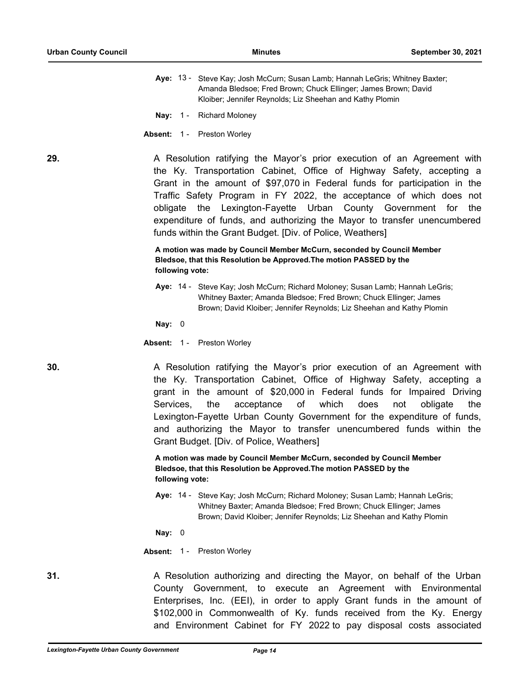- Aye: 13 Steve Kay; Josh McCurn; Susan Lamb; Hannah LeGris; Whitney Baxter; Amanda Bledsoe; Fred Brown; Chuck Ellinger; James Brown; David Kloiber; Jennifer Reynolds; Liz Sheehan and Kathy Plomin
- **Nay:** 1 Richard Moloney
- **Absent:** 1 Preston Worley

**29.** A Resolution ratifying the Mayor's prior execution of an Agreement with the Ky. Transportation Cabinet, Office of Highway Safety, accepting a Grant in the amount of \$97,070 in Federal funds for participation in the Traffic Safety Program in FY 2022, the acceptance of which does not obligate the Lexington-Fayette Urban County Government for the expenditure of funds, and authorizing the Mayor to transfer unencumbered funds within the Grant Budget. [Div. of Police, Weathers]

> **A motion was made by Council Member McCurn, seconded by Council Member Bledsoe, that this Resolution be Approved.The motion PASSED by the following vote:**

Aye: 14 - Steve Kay; Josh McCurn; Richard Moloney; Susan Lamb; Hannah LeGris; Whitney Baxter; Amanda Bledsoe; Fred Brown; Chuck Ellinger; James Brown; David Kloiber; Jennifer Reynolds; Liz Sheehan and Kathy Plomin

**Nay:** 0

**Absent:** 1 - Preston Worley

**30. A Resolution ratifying the Mayor's prior execution of an Agreement with** the Ky. Transportation Cabinet, Office of Highway Safety, accepting a grant in the amount of \$20,000 in Federal funds for Impaired Driving Services, the acceptance of which does not obligate the Lexington-Fayette Urban County Government for the expenditure of funds, and authorizing the Mayor to transfer unencumbered funds within the Grant Budget. [Div. of Police, Weathers]

> **A motion was made by Council Member McCurn, seconded by Council Member Bledsoe, that this Resolution be Approved.The motion PASSED by the following vote:**

Aye: 14 - Steve Kay; Josh McCurn; Richard Moloney; Susan Lamb; Hannah LeGris; Whitney Baxter; Amanda Bledsoe; Fred Brown; Chuck Ellinger; James Brown; David Kloiber; Jennifer Reynolds; Liz Sheehan and Kathy Plomin

**Nay:** 0

**Absent:** 1 - Preston Worley

**31.** A Resolution authorizing and directing the Mayor, on behalf of the Urban County Government, to execute an Agreement with Environmental Enterprises, Inc. (EEI), in order to apply Grant funds in the amount of \$102,000 in Commonwealth of Ky. funds received from the Ky. Energy and Environment Cabinet for FY 2022 to pay disposal costs associated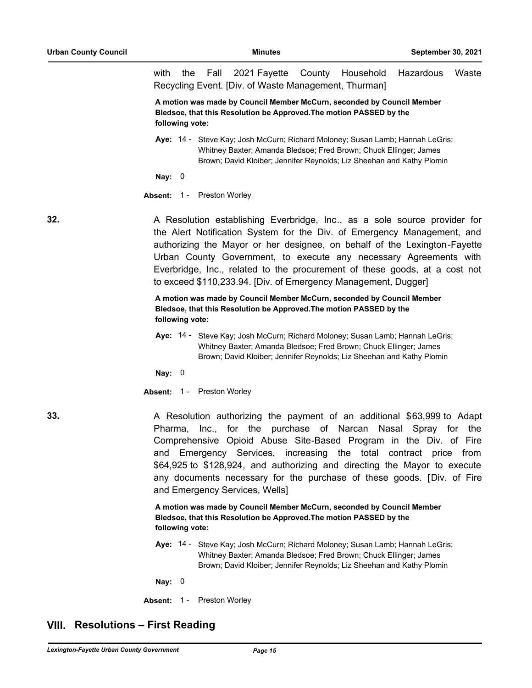with the Fall 2021 Fayette County Household Hazardous Waste Recycling Event. [Div. of Waste Management, Thurman]

**A motion was made by Council Member McCurn, seconded by Council Member Bledsoe, that this Resolution be Approved.The motion PASSED by the following vote:**

Aye: 14 - Steve Kay; Josh McCurn; Richard Moloney; Susan Lamb; Hannah LeGris; Whitney Baxter; Amanda Bledsoe; Fred Brown; Chuck Ellinger; James Brown; David Kloiber; Jennifer Reynolds; Liz Sheehan and Kathy Plomin

**Nay:** 0

#### **Absent:** 1 - Preston Worley

**32.** A Resolution establishing Everbridge, Inc., as a sole source provider for the Alert Notification System for the Div. of Emergency Management, and authorizing the Mayor or her designee, on behalf of the Lexington-Fayette Urban County Government, to execute any necessary Agreements with Everbridge, Inc., related to the procurement of these goods, at a cost not to exceed \$110,233.94. [Div. of Emergency Management, Dugger]

### **A motion was made by Council Member McCurn, seconded by Council Member Bledsoe, that this Resolution be Approved.The motion PASSED by the following vote:**

Aye: 14 - Steve Kay; Josh McCurn; Richard Moloney; Susan Lamb; Hannah LeGris; Whitney Baxter; Amanda Bledsoe; Fred Brown; Chuck Ellinger; James Brown; David Kloiber; Jennifer Reynolds; Liz Sheehan and Kathy Plomin

**Nay:** 0

**Absent:** 1 - Preston Worley

**33.** A Resolution authorizing the payment of an additional \$63,999 to Adapt Pharma, Inc., for the purchase of Narcan Nasal Spray for the Comprehensive Opioid Abuse Site-Based Program in the Div. of Fire and Emergency Services, increasing the total contract price from \$64,925 to \$128,924, and authorizing and directing the Mayor to execute any documents necessary for the purchase of these goods. [Div. of Fire and Emergency Services, Wells]

> **A motion was made by Council Member McCurn, seconded by Council Member Bledsoe, that this Resolution be Approved.The motion PASSED by the following vote:**

Aye: 14 - Steve Kay; Josh McCurn; Richard Moloney; Susan Lamb; Hannah LeGris; Whitney Baxter; Amanda Bledsoe; Fred Brown; Chuck Ellinger; James Brown; David Kloiber; Jennifer Reynolds; Liz Sheehan and Kathy Plomin

**Nay:** 0

**Absent:** 1 - Preston Worley

# **VIII. Resolutions – First Reading**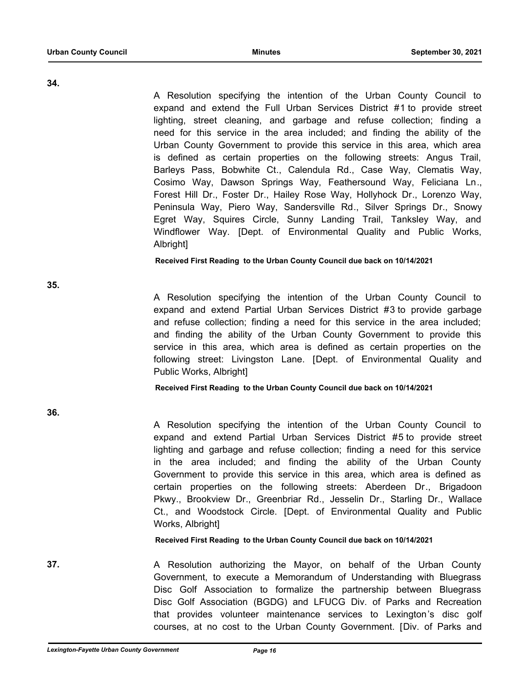**34.**

A Resolution specifying the intention of the Urban County Council to expand and extend the Full Urban Services District #1 to provide street lighting, street cleaning, and garbage and refuse collection; finding a need for this service in the area included; and finding the ability of the Urban County Government to provide this service in this area, which area is defined as certain properties on the following streets: Angus Trail, Barleys Pass, Bobwhite Ct., Calendula Rd., Case Way, Clematis Way, Cosimo Way, Dawson Springs Way, Feathersound Way, Feliciana Ln., Forest Hill Dr., Foster Dr., Hailey Rose Way, Hollyhock Dr., Lorenzo Way, Peninsula Way, Piero Way, Sandersville Rd., Silver Springs Dr., Snowy Egret Way, Squires Circle, Sunny Landing Trail, Tanksley Way, and Windflower Way. [Dept. of Environmental Quality and Public Works, Albright]

**Received First Reading to the Urban County Council due back on 10/14/2021**

A Resolution specifying the intention of the Urban County Council to expand and extend Partial Urban Services District #3 to provide garbage and refuse collection; finding a need for this service in the area included; and finding the ability of the Urban County Government to provide this service in this area, which area is defined as certain properties on the following street: Livingston Lane. [Dept. of Environmental Quality and Public Works, Albright]

**Received First Reading to the Urban County Council due back on 10/14/2021**

**36.**

**35.**

A Resolution specifying the intention of the Urban County Council to expand and extend Partial Urban Services District #5 to provide street lighting and garbage and refuse collection; finding a need for this service in the area included; and finding the ability of the Urban County Government to provide this service in this area, which area is defined as certain properties on the following streets: Aberdeen Dr., Brigadoon Pkwy., Brookview Dr., Greenbriar Rd., Jesselin Dr., Starling Dr., Wallace Ct., and Woodstock Circle. [Dept. of Environmental Quality and Public Works, Albright]

**Received First Reading to the Urban County Council due back on 10/14/2021**

**37.** A Resolution authorizing the Mayor, on behalf of the Urban County Government, to execute a Memorandum of Understanding with Bluegrass Disc Golf Association to formalize the partnership between Bluegrass Disc Golf Association (BGDG) and LFUCG Div. of Parks and Recreation that provides volunteer maintenance services to Lexington's disc golf courses, at no cost to the Urban County Government. [Div. of Parks and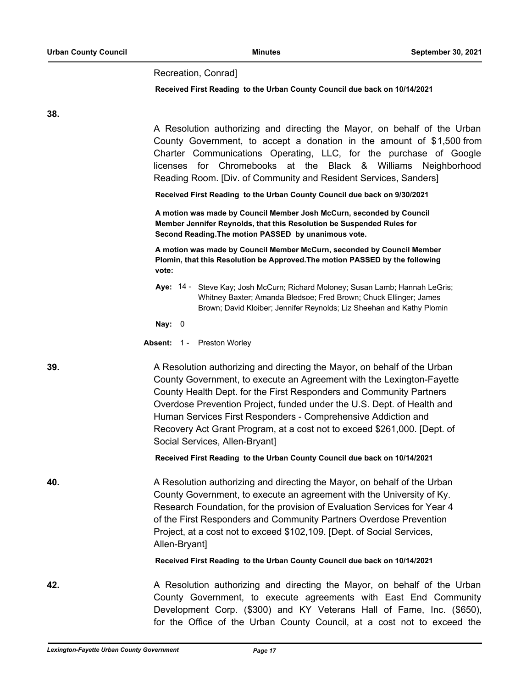#### Recreation, Conrad]

#### **Received First Reading to the Urban County Council due back on 10/14/2021**

**38.**

A Resolution authorizing and directing the Mayor, on behalf of the Urban County Government, to accept a donation in the amount of \$1,500 from Charter Communications Operating, LLC, for the purchase of Google licenses for Chromebooks at the Black & Williams Neighborhood Reading Room. [Div. of Community and Resident Services, Sanders] **Received First Reading to the Urban County Council due back on 9/30/2021 A motion was made by Council Member Josh McCurn, seconded by Council Member Jennifer Reynolds, that this Resolution be Suspended Rules for Second Reading.The motion PASSED by unanimous vote. A motion was made by Council Member McCurn, seconded by Council Member Plomin, that this Resolution be Approved.The motion PASSED by the following vote:** Aye: 14 - Steve Kay; Josh McCurn; Richard Moloney; Susan Lamb; Hannah LeGris; Whitney Baxter; Amanda Bledsoe; Fred Brown; Chuck Ellinger; James Brown; David Kloiber; Jennifer Reynolds; Liz Sheehan and Kathy Plomin **Nay:** 0 **Absent:** 1 - Preston Worley **39.** A Resolution authorizing and directing the Mayor, on behalf of the Urban County Government, to execute an Agreement with the Lexington-Fayette County Health Dept. for the First Responders and Community Partners Overdose Prevention Project, funded under the U.S. Dept. of Health and Human Services First Responders - Comprehensive Addiction and Recovery Act Grant Program, at a cost not to exceed \$261,000. [Dept. of Social Services, Allen-Bryant] **Received First Reading to the Urban County Council due back on 10/14/2021 40.** A Resolution authorizing and directing the Mayor, on behalf of the Urban County Government, to execute an agreement with the University of Ky. Research Foundation, for the provision of Evaluation Services for Year 4 of the First Responders and Community Partners Overdose Prevention Project, at a cost not to exceed \$102,109. [Dept. of Social Services, Allen-Bryant] **Received First Reading to the Urban County Council due back on 10/14/2021 42.** A Resolution authorizing and directing the Mayor, on behalf of the Urban County Government, to execute agreements with East End Community Development Corp. (\$300) and KY Veterans Hall of Fame, Inc. (\$650),

for the Office of the Urban County Council, at a cost not to exceed the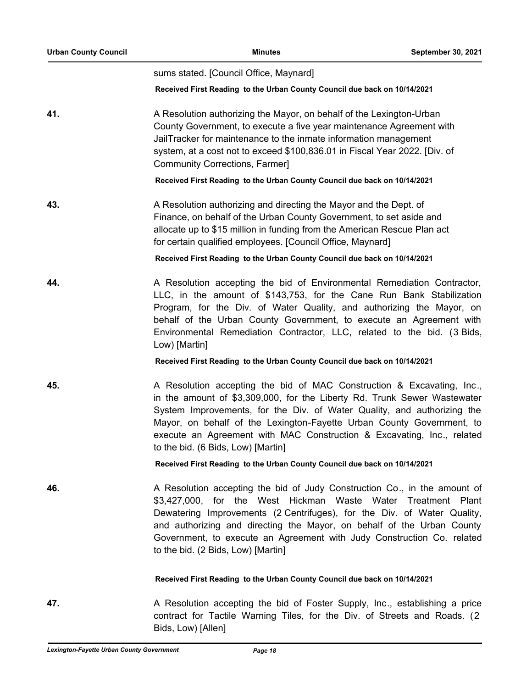| <b>Urban County Council</b> | <b>Minutes</b>                                                                                                                                                                                                                                                                                                                                                                                                         | September 30, 2021 |  |
|-----------------------------|------------------------------------------------------------------------------------------------------------------------------------------------------------------------------------------------------------------------------------------------------------------------------------------------------------------------------------------------------------------------------------------------------------------------|--------------------|--|
|                             | sums stated. [Council Office, Maynard]                                                                                                                                                                                                                                                                                                                                                                                 |                    |  |
|                             | Received First Reading to the Urban County Council due back on 10/14/2021                                                                                                                                                                                                                                                                                                                                              |                    |  |
| 41.                         | A Resolution authorizing the Mayor, on behalf of the Lexington-Urban<br>County Government, to execute a five year maintenance Agreement with<br>JailTracker for maintenance to the inmate information management<br>system, at a cost not to exceed \$100,836.01 in Fiscal Year 2022. [Div. of<br><b>Community Corrections, Farmer]</b>                                                                                |                    |  |
|                             | Received First Reading to the Urban County Council due back on 10/14/2021                                                                                                                                                                                                                                                                                                                                              |                    |  |
| 43.                         | A Resolution authorizing and directing the Mayor and the Dept. of<br>Finance, on behalf of the Urban County Government, to set aside and<br>allocate up to \$15 million in funding from the American Rescue Plan act<br>for certain qualified employees. [Council Office, Maynard]                                                                                                                                     |                    |  |
|                             | Received First Reading to the Urban County Council due back on 10/14/2021                                                                                                                                                                                                                                                                                                                                              |                    |  |
| 44.                         | A Resolution accepting the bid of Environmental Remediation Contractor,<br>LLC, in the amount of \$143,753, for the Cane Run Bank Stabilization<br>Program, for the Div. of Water Quality, and authorizing the Mayor, on<br>behalf of the Urban County Government, to execute an Agreement with<br>Environmental Remediation Contractor, LLC, related to the bid. (3 Bids,<br>Low) [Martin]                            |                    |  |
|                             | Received First Reading to the Urban County Council due back on 10/14/2021                                                                                                                                                                                                                                                                                                                                              |                    |  |
| 45.                         | A Resolution accepting the bid of MAC Construction & Excavating, Inc.,<br>in the amount of \$3,309,000, for the Liberty Rd. Trunk Sewer Wastewater<br>System Improvements, for the Div. of Water Quality, and authorizing the<br>Mayor, on behalf of the Lexington-Fayette Urban County Government, to<br>execute an Agreement with MAC Construction & Excavating, Inc., related<br>to the bid. (6 Bids, Low) [Martin] |                    |  |
|                             | Received First Reading to the Urban County Council due back on 10/14/2021                                                                                                                                                                                                                                                                                                                                              |                    |  |
| 46.                         | A Resolution accepting the bid of Judy Construction Co., in the amount of<br>\$3,427,000, for the West Hickman Waste Water Treatment Plant<br>Dewatering Improvements (2 Centrifuges), for the Div. of Water Quality,<br>and authorizing and directing the Mayor, on behalf of the Urban County<br>Government, to execute an Agreement with Judy Construction Co. related<br>to the bid. (2 Bids, Low) [Martin]        |                    |  |
|                             | Received First Reading to the Urban County Council due back on 10/14/2021                                                                                                                                                                                                                                                                                                                                              |                    |  |
| 47.                         | A Resolution accepting the bid of Foster Supply, Inc., establishing a price<br>contract for Tactile Warning Tiles, for the Div. of Streets and Roads. (2)<br>Bids, Low) [Allen]                                                                                                                                                                                                                                        |                    |  |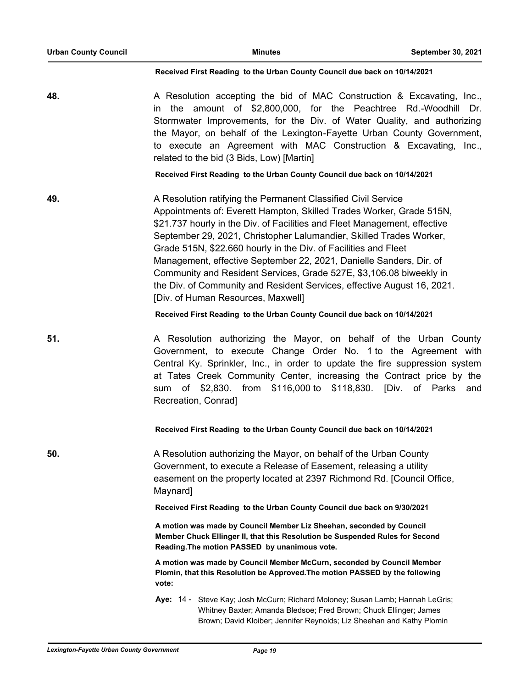#### **Received First Reading to the Urban County Council due back on 10/14/2021**

**48.** A Resolution accepting the bid of MAC Construction & Excavating, Inc., in the amount of \$2,800,000, for the Peachtree Rd.-Woodhill Dr. Stormwater Improvements, for the Div. of Water Quality, and authorizing the Mayor, on behalf of the Lexington-Fayette Urban County Government, to execute an Agreement with MAC Construction & Excavating, Inc., related to the bid (3 Bids, Low) [Martin]

**Received First Reading to the Urban County Council due back on 10/14/2021**

**49.** A Resolution ratifying the Permanent Classified Civil Service Appointments of: Everett Hampton, Skilled Trades Worker, Grade 515N, \$21.737 hourly in the Div. of Facilities and Fleet Management, effective September 29, 2021, Christopher Lalumandier, Skilled Trades Worker, Grade 515N, \$22.660 hourly in the Div. of Facilities and Fleet Management, effective September 22, 2021, Danielle Sanders, Dir. of Community and Resident Services, Grade 527E, \$3,106.08 biweekly in the Div. of Community and Resident Services, effective August 16, 2021. [Div. of Human Resources, Maxwell]

**Received First Reading to the Urban County Council due back on 10/14/2021**

**51.** A Resolution authorizing the Mayor, on behalf of the Urban County Government, to execute Change Order No. 1 to the Agreement with Central Ky. Sprinkler, Inc., in order to update the fire suppression system at Tates Creek Community Center, increasing the Contract price by the sum of \$2,830. from \$116,000 to \$118,830. [Div. of Parks and Recreation, Conrad]

### **Received First Reading to the Urban County Council due back on 10/14/2021**

**50.** A Resolution authorizing the Mayor, on behalf of the Urban County Government, to execute a Release of Easement, releasing a utility easement on the property located at 2397 Richmond Rd. [Council Office, Maynard]

**Received First Reading to the Urban County Council due back on 9/30/2021**

**A motion was made by Council Member Liz Sheehan, seconded by Council Member Chuck Ellinger II, that this Resolution be Suspended Rules for Second Reading.The motion PASSED by unanimous vote.**

**A motion was made by Council Member McCurn, seconded by Council Member Plomin, that this Resolution be Approved.The motion PASSED by the following vote:**

Aye: 14 - Steve Kay; Josh McCurn; Richard Moloney; Susan Lamb; Hannah LeGris; Whitney Baxter; Amanda Bledsoe; Fred Brown; Chuck Ellinger; James Brown; David Kloiber; Jennifer Reynolds; Liz Sheehan and Kathy Plomin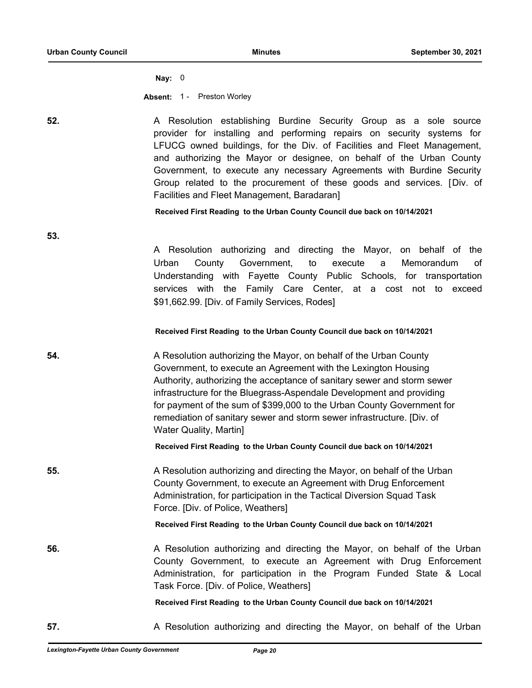**53.**

**Nay:** 0

**Absent:** 1 - Preston Worley

**52. A Resolution establishing Burdine Security Group as a sole source** provider for installing and performing repairs on security systems for LFUCG owned buildings, for the Div. of Facilities and Fleet Management, and authorizing the Mayor or designee, on behalf of the Urban County Government, to execute any necessary Agreements with Burdine Security Group related to the procurement of these goods and services. [Div. of Facilities and Fleet Management, Baradaran]

**Received First Reading to the Urban County Council due back on 10/14/2021**

A Resolution authorizing and directing the Mayor, on behalf of the Urban County Government, to execute a Memorandum of Understanding with Fayette County Public Schools, for transportation services with the Family Care Center, at a cost not to exceed \$91,662.99. [Div. of Family Services, Rodes]

### **Received First Reading to the Urban County Council due back on 10/14/2021**

**54.** A Resolution authorizing the Mayor, on behalf of the Urban County Government, to execute an Agreement with the Lexington Housing Authority, authorizing the acceptance of sanitary sewer and storm sewer infrastructure for the Bluegrass-Aspendale Development and providing for payment of the sum of \$399,000 to the Urban County Government for remediation of sanitary sewer and storm sewer infrastructure. [Div. of Water Quality, Martin]

**Received First Reading to the Urban County Council due back on 10/14/2021**

**55.** A Resolution authorizing and directing the Mayor, on behalf of the Urban County Government, to execute an Agreement with Drug Enforcement Administration, for participation in the Tactical Diversion Squad Task Force. [Div. of Police, Weathers]

**Received First Reading to the Urban County Council due back on 10/14/2021**

**56.** A Resolution authorizing and directing the Mayor, on behalf of the Urban County Government, to execute an Agreement with Drug Enforcement Administration, for participation in the Program Funded State & Local Task Force. [Div. of Police, Weathers]

#### **Received First Reading to the Urban County Council due back on 10/14/2021**

**57.** A Resolution authorizing and directing the Mayor, on behalf of the Urban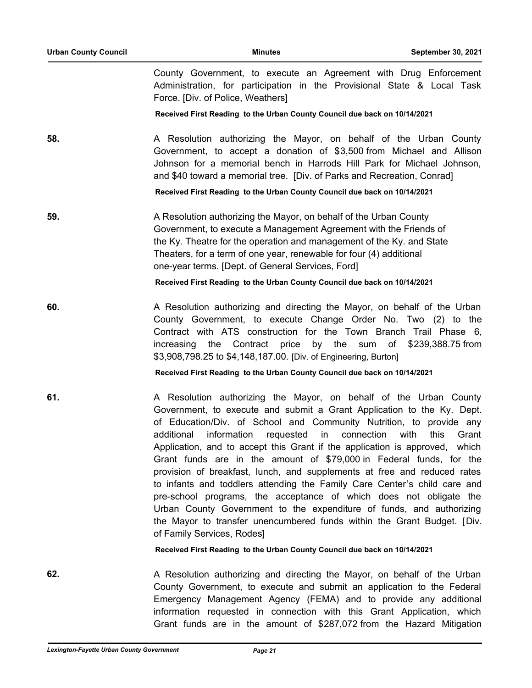County Government, to execute an Agreement with Drug Enforcement Administration, for participation in the Provisional State & Local Task Force. [Div. of Police, Weathers]

### **Received First Reading to the Urban County Council due back on 10/14/2021**

**58.** A Resolution authorizing the Mayor, on behalf of the Urban County Government, to accept a donation of \$3,500 from Michael and Allison Johnson for a memorial bench in Harrods Hill Park for Michael Johnson, and \$40 toward a memorial tree. [Div. of Parks and Recreation, Conrad]

**Received First Reading to the Urban County Council due back on 10/14/2021**

**59.** A Resolution authorizing the Mayor, on behalf of the Urban County Government, to execute a Management Agreement with the Friends of the Ky. Theatre for the operation and management of the Ky. and State Theaters, for a term of one year, renewable for four (4) additional one-year terms. [Dept. of General Services, Ford]

**Received First Reading to the Urban County Council due back on 10/14/2021**

**60.** A Resolution authorizing and directing the Mayor, on behalf of the Urban County Government, to execute Change Order No. Two (2) to the Contract with ATS construction for the Town Branch Trail Phase 6, increasing the Contract price by the sum of \$239,388.75 from \$3,908,798.25 to \$4,148,187.00. [Div. of Engineering, Burton]

**Received First Reading to the Urban County Council due back on 10/14/2021**

**61. A Resolution authorizing the Mayor, on behalf of the Urban County** Government, to execute and submit a Grant Application to the Ky. Dept. of Education/Div. of School and Community Nutrition, to provide any additional information requested in connection with this Grant Application, and to accept this Grant if the application is approved, which Grant funds are in the amount of \$79,000 in Federal funds, for the provision of breakfast, lunch, and supplements at free and reduced rates to infants and toddlers attending the Family Care Center's child care and pre-school programs, the acceptance of which does not obligate the Urban County Government to the expenditure of funds, and authorizing the Mayor to transfer unencumbered funds within the Grant Budget. [Div. of Family Services, Rodes]

**Received First Reading to the Urban County Council due back on 10/14/2021**

**62. A Resolution authorizing and directing the Mayor, on behalf of the Urban** County Government, to execute and submit an application to the Federal Emergency Management Agency (FEMA) and to provide any additional information requested in connection with this Grant Application, which Grant funds are in the amount of \$287,072 from the Hazard Mitigation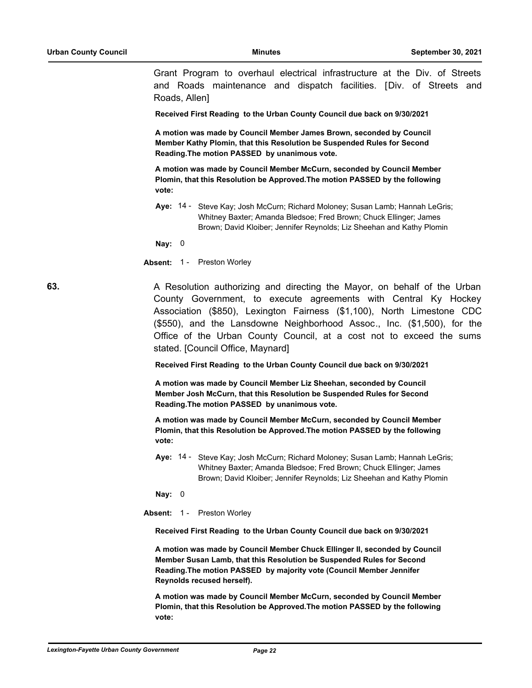Grant Program to overhaul electrical infrastructure at the Div. of Streets and Roads maintenance and dispatch facilities. [Div. of Streets and Roads, Allen]

**Received First Reading to the Urban County Council due back on 9/30/2021**

**A motion was made by Council Member James Brown, seconded by Council Member Kathy Plomin, that this Resolution be Suspended Rules for Second Reading.The motion PASSED by unanimous vote.**

**A motion was made by Council Member McCurn, seconded by Council Member Plomin, that this Resolution be Approved.The motion PASSED by the following vote:**

Aye: 14 - Steve Kay; Josh McCurn; Richard Moloney; Susan Lamb; Hannah LeGris; Whitney Baxter; Amanda Bledsoe; Fred Brown; Chuck Ellinger; James Brown; David Kloiber; Jennifer Reynolds; Liz Sheehan and Kathy Plomin

**Nay:** 0

**Absent:** 1 - Preston Worley

**63. A Resolution authorizing and directing the Mayor, on behalf of the Urban** County Government, to execute agreements with Central Ky Hockey Association (\$850), Lexington Fairness (\$1,100), North Limestone CDC (\$550), and the Lansdowne Neighborhood Assoc., Inc. (\$1,500), for the Office of the Urban County Council, at a cost not to exceed the sums stated. [Council Office, Maynard]

**Received First Reading to the Urban County Council due back on 9/30/2021**

**A motion was made by Council Member Liz Sheehan, seconded by Council Member Josh McCurn, that this Resolution be Suspended Rules for Second Reading.The motion PASSED by unanimous vote.**

**A motion was made by Council Member McCurn, seconded by Council Member Plomin, that this Resolution be Approved.The motion PASSED by the following vote:**

Aye: 14 - Steve Kay; Josh McCurn; Richard Moloney; Susan Lamb; Hannah LeGris; Whitney Baxter; Amanda Bledsoe; Fred Brown; Chuck Ellinger; James Brown; David Kloiber; Jennifer Reynolds; Liz Sheehan and Kathy Plomin

**Nay:** 0

**Absent:** 1 - Preston Worley

**Received First Reading to the Urban County Council due back on 9/30/2021**

**A motion was made by Council Member Chuck Ellinger II, seconded by Council Member Susan Lamb, that this Resolution be Suspended Rules for Second Reading.The motion PASSED by majority vote (Council Member Jennifer Reynolds recused herself).**

**A motion was made by Council Member McCurn, seconded by Council Member Plomin, that this Resolution be Approved.The motion PASSED by the following vote:**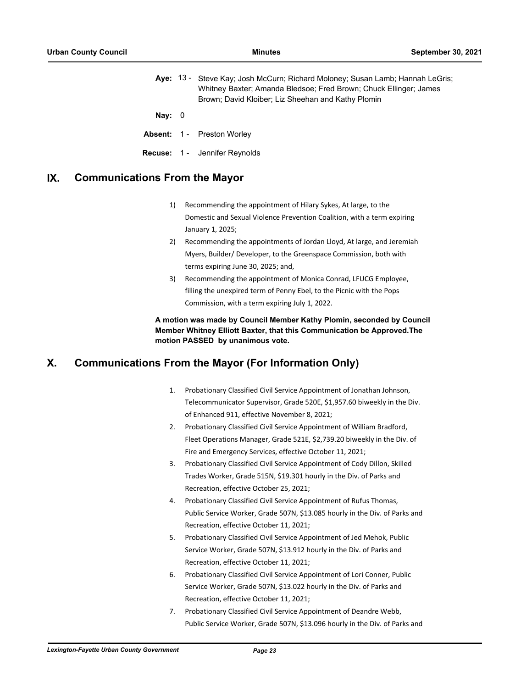Aye: 13 - Steve Kay; Josh McCurn; Richard Moloney; Susan Lamb; Hannah LeGris; Whitney Baxter; Amanda Bledsoe; Fred Brown; Chuck Ellinger; James Brown; David Kloiber; Liz Sheehan and Kathy Plomin

**Nay:** 0

- **Absent:** 1 Preston Worley
- **Recuse:** 1 Jennifer Reynolds

# **IX. Communications From the Mayor**

- 1) Recommending the appointment of Hilary Sykes, At large, to the Domestic and Sexual Violence Prevention Coalition, with a term expiring January 1, 2025;
- 2) Recommending the appointments of Jordan Lloyd, At large, and Jeremiah Myers, Builder/ Developer, to the Greenspace Commission, both with terms expiring June 30, 2025; and,
- 3) Recommending the appointment of Monica Conrad, LFUCG Employee, filling the unexpired term of Penny Ebel, to the Picnic with the Pops Commission, with a term expiring July 1, 2022.

### **A motion was made by Council Member Kathy Plomin, seconded by Council Member Whitney Elliott Baxter, that this Communication be Approved.The motion PASSED by unanimous vote.**

# **X. Communications From the Mayor (For Information Only)**

- 1. Probationary Classified Civil Service Appointment of Jonathan Johnson, Telecommunicator Supervisor, Grade 520E, \$1,957.60 biweekly in the Div. of Enhanced 911, effective November 8, 2021;
- 2. Probationary Classified Civil Service Appointment of William Bradford, Fleet Operations Manager, Grade 521E, \$2,739.20 biweekly in the Div. of Fire and Emergency Services, effective October 11, 2021;
- 3. Probationary Classified Civil Service Appointment of Cody Dillon, Skilled Trades Worker, Grade 515N, \$19.301 hourly in the Div. of Parks and Recreation, effective October 25, 2021;
- 4. Probationary Classified Civil Service Appointment of Rufus Thomas, Public Service Worker, Grade 507N, \$13.085 hourly in the Div. of Parks and Recreation, effective October 11, 2021;
- 5. Probationary Classified Civil Service Appointment of Jed Mehok, Public Service Worker, Grade 507N, \$13.912 hourly in the Div. of Parks and Recreation, effective October 11, 2021;
- 6. Probationary Classified Civil Service Appointment of Lori Conner, Public Service Worker, Grade 507N, \$13.022 hourly in the Div. of Parks and Recreation, effective October 11, 2021;
- 7. Probationary Classified Civil Service Appointment of Deandre Webb, Public Service Worker, Grade 507N, \$13.096 hourly in the Div. of Parks and